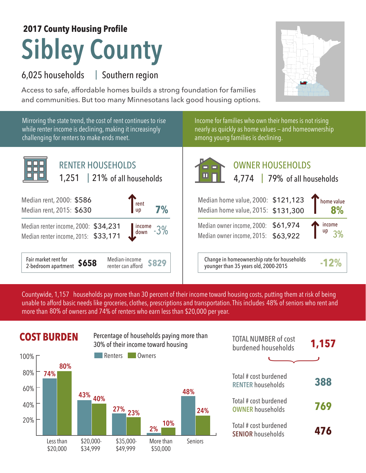## **Sibley County 2017 County Housing Profile**

## 6,025 households Southern region |

Access to safe, affordable homes builds a strong foundation for families and communities. But too many Minnesotans lack good housing options.

Mirroring the state trend, the cost of rent continues to rise while renter income is declining, making it increasingly challenging for renters to make ends meet.

Income for families who own their homes is not rising nearly as quickly as home values — and homeownership among young families is declining.



OWNER HOUSEHOLDS Median home value, 2000: \$121,123 Median home value, 2015: \$131,300 Median owner income, 2000: \$61,974 **8%** home value income up 4,774 | 79% of all households of all households

Median owner income, 2015: \$63,922

**\$829** Change in homeownership rate for households younger than 35 years old, 2000-2015 **-12%**

3%

Countywide, 1,157  $\,$  households pay more than 30 percent of their income toward housing costs, putting them at risk of being  $\,$ unable to afford basic needs like groceries, clothes, prescriptions and transportation. This includes 48% of seniors who rent and more than 80% of owners and 74% of renters who earn less than \$20,000 per year.

## **COST BURDEN** Percentage of households paying more than **TOTAL NUMBER** of cost



| <b>TOTAL NUMBER of cost</b><br>burdened households | 1,157 |
|----------------------------------------------------|-------|
|                                                    |       |
| Total # cost burdened<br><b>RENTER households</b>  | 388   |
| Total # cost burdened<br><b>OWNER households</b>   | 769   |
| Total # cost burdened<br><b>SENIOR households</b>  | 476   |